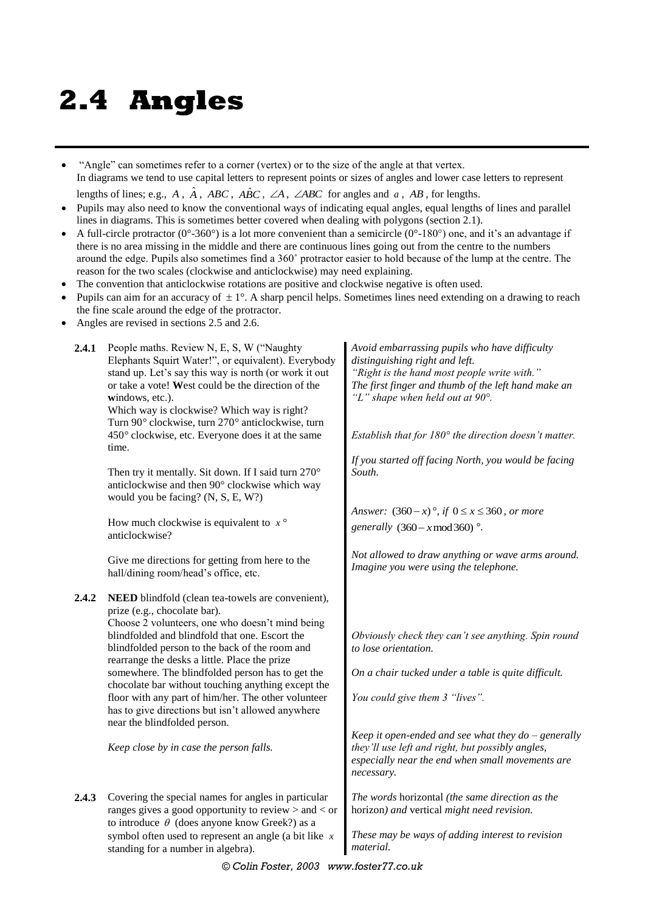## **2.4 Angles**

 "Angle" can sometimes refer to a corner (vertex) or to the size of the angle at that vertex. In diagrams we tend to use capital letters to represent points or sizes of angles and lower case letters to represent

lengths of lines; e.g., A,  $\hat{A}$ , ABC, ABC,  $\angle A$ ,  $\angle ABC$  for angles and a, AB, for lengths.

- Pupils may also need to know the conventional ways of indicating equal angles, equal lengths of lines and parallel lines in diagrams. This is sometimes better covered when dealing with polygons (section 2.1).
- A full-circle protractor ( $0^{\circ}$ -360°) is a lot more convenient than a semicircle ( $0^{\circ}$ -180°) one, and it's an advantage if there is no area missing in the middle and there are continuous lines going out from the centre to the numbers around the edge. Pupils also sometimes find a 360˚ protractor easier to hold because of the lump at the centre. The reason for the two scales (clockwise and anticlockwise) may need explaining.
- The convention that anticlockwise rotations are positive and clockwise negative is often used.
- Pupils can aim for an accuracy of  $\pm 1^{\circ}$ . A sharp pencil helps. Sometimes lines need extending on a drawing to reach the fine scale around the edge of the protractor.
- Angles are revised in sections 2.5 and 2.6.

| 2.4.1 | People maths. Review N, E, S, W ("Naughty<br>Elephants Squirt Water!", or equivalent). Everybody<br>stand up. Let's say this way is north (or work it out<br>or take a vote! West could be the direction of the<br>windows, etc.).<br>Which way is clockwise? Which way is right?<br>Turn 90° clockwise, turn 270° anticlockwise, turn<br>450° clockwise, etc. Everyone does it at the same | Avoid embarrassing pupils who have difficulty<br>distinguishing right and left.<br>"Right is the hand most people write with."<br>The first finger and thumb of the left hand make an<br>"L" shape when held out at $90^\circ$ .<br>Establish that for $180^\circ$ the direction doesn't matter. |
|-------|---------------------------------------------------------------------------------------------------------------------------------------------------------------------------------------------------------------------------------------------------------------------------------------------------------------------------------------------------------------------------------------------|--------------------------------------------------------------------------------------------------------------------------------------------------------------------------------------------------------------------------------------------------------------------------------------------------|
|       | time.                                                                                                                                                                                                                                                                                                                                                                                       | If you started off facing North, you would be facing                                                                                                                                                                                                                                             |
|       | Then try it mentally. Sit down. If I said turn 270°<br>anticlockwise and then 90° clockwise which way<br>would you be facing? (N, S, E, W?)                                                                                                                                                                                                                                                 | South.                                                                                                                                                                                                                                                                                           |
|       |                                                                                                                                                                                                                                                                                                                                                                                             | Answer: $(360-x)$ °, if $0 \le x \le 360$ , or more                                                                                                                                                                                                                                              |
|       | How much clockwise is equivalent to $x^{\circ}$<br>anticlockwise?                                                                                                                                                                                                                                                                                                                           | generally $(360 - x \mod 360)$ °.                                                                                                                                                                                                                                                                |
|       | Give me directions for getting from here to the<br>hall/dining room/head's office, etc.                                                                                                                                                                                                                                                                                                     | Not allowed to draw anything or wave arms around.<br>Imagine you were using the telephone.                                                                                                                                                                                                       |
| 2.4.2 | NEED blindfold (clean tea-towels are convenient),<br>prize (e.g., chocolate bar).<br>Choose 2 volunteers, one who doesn't mind being                                                                                                                                                                                                                                                        |                                                                                                                                                                                                                                                                                                  |
|       | blindfolded and blindfold that one. Escort the<br>blindfolded person to the back of the room and<br>rearrange the desks a little. Place the prize                                                                                                                                                                                                                                           | Obviously check they can't see anything. Spin round<br>to lose orientation.                                                                                                                                                                                                                      |
|       | somewhere. The blindfolded person has to get the<br>chocolate bar without touching anything except the                                                                                                                                                                                                                                                                                      | On a chair tucked under a table is quite difficult.                                                                                                                                                                                                                                              |
|       | floor with any part of him/her. The other volunteer<br>has to give directions but isn't allowed anywhere<br>near the blindfolded person.                                                                                                                                                                                                                                                    | You could give them 3 "lives".                                                                                                                                                                                                                                                                   |
|       | Keep close by in case the person falls.                                                                                                                                                                                                                                                                                                                                                     | Keep it open-ended and see what they $do$ – generally<br>they'll use left and right, but possibly angles,<br>especially near the end when small movements are<br>necessary.                                                                                                                      |
| 2.4.3 | Covering the special names for angles in particular<br>ranges gives a good opportunity to review $>$ and $<$ or                                                                                                                                                                                                                                                                             | The words horizontal (the same direction as the<br>horizon) and vertical might need revision.                                                                                                                                                                                                    |
|       | to introduce $\theta$ (does anyone know Greek?) as a<br>symbol often used to represent an angle (a bit like $x$<br>standing for a number in algebra).                                                                                                                                                                                                                                       | These may be ways of adding interest to revision<br>material.                                                                                                                                                                                                                                    |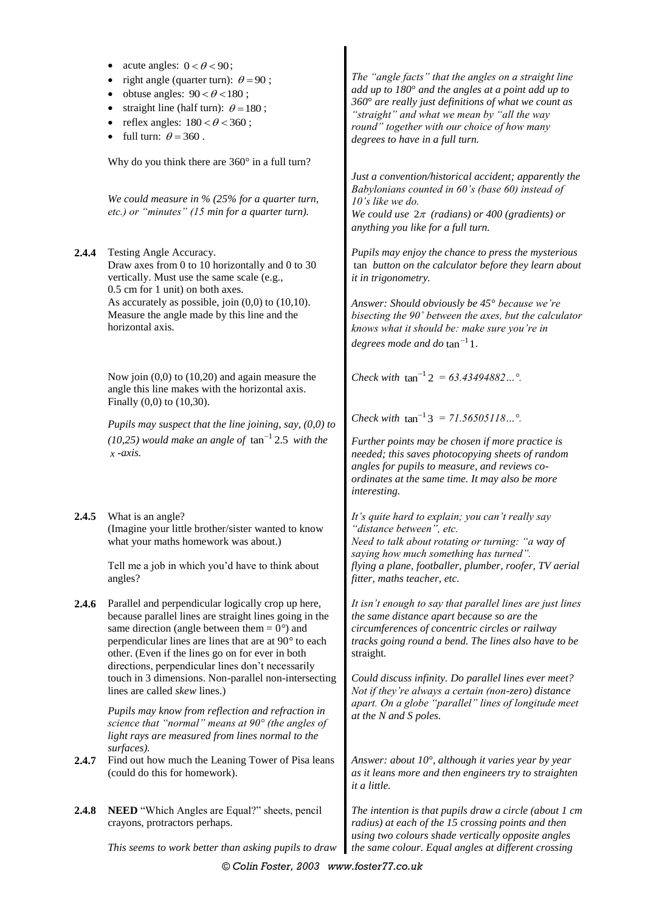|       | acute angles: $0 < \theta < 90$ ;<br>right angle (quarter turn): $\theta = 90$ ;<br>obtuse angles: $90 < \theta < 180$ ;<br>straight line (half turn): $\theta = 180$ ;<br>reflex angles: $180 < \theta < 360$ ;<br>full turn: $\theta = 360$ .                                                                                                                                                                                          | The "angle facts" that the angles on a straight line<br>add up to $180^\circ$ and the angles at a point add up to<br>360° are really just definitions of what we count as<br>"straight" and what we mean by "all the way<br>round" together with our choice of how many<br>degrees to have in a full turn.                                     |
|-------|------------------------------------------------------------------------------------------------------------------------------------------------------------------------------------------------------------------------------------------------------------------------------------------------------------------------------------------------------------------------------------------------------------------------------------------|------------------------------------------------------------------------------------------------------------------------------------------------------------------------------------------------------------------------------------------------------------------------------------------------------------------------------------------------|
|       | Why do you think there are 360° in a full turn?<br>We could measure in $%$ (25% for a quarter turn,<br>etc.) or "minutes" (15 min for a quarter turn).                                                                                                                                                                                                                                                                                   | Just a convention/historical accident; apparently the<br>Babylonians counted in 60's (base 60) instead of<br>10's like we do.<br>We could use $2\pi$ (radians) or 400 (gradients) or<br>anything you like for a full turn.                                                                                                                     |
| 2.4.4 | Testing Angle Accuracy.<br>Draw axes from 0 to 10 horizontally and 0 to 30<br>vertically. Must use the same scale (e.g.,<br>0.5 cm for 1 unit) on both axes.<br>As accurately as possible, join $(0,0)$ to $(10,10)$ .<br>Measure the angle made by this line and the<br>horizontal axis.                                                                                                                                                | Pupils may enjoy the chance to press the mysterious<br>tan button on the calculator before they learn about<br>it in trigonometry.<br>Answer: Should obviously be 45° because we're<br>bisecting the 90° between the axes, but the calculator<br>knows what it should be: make sure you're in<br>degrees mode and do $tan^{-1}1$ .             |
|       | Now join $(0,0)$ to $(10,20)$ and again measure the<br>angle this line makes with the horizontal axis.<br>Finally $(0,0)$ to $(10,30)$ .                                                                                                                                                                                                                                                                                                 | Check with $\tan^{-1} 2 = 63.43494882$ °.                                                                                                                                                                                                                                                                                                      |
|       | Pupils may suspect that the line joining, say, $(0,0)$ to<br>(10,25) would make an angle of $\tan^{-1}$ 2.5 with the<br>$x$ -axis.                                                                                                                                                                                                                                                                                                       | Check with $\tan^{-1}3 = 71.56505118^{\circ}$ .<br>Further points may be chosen if more practice is<br>needed; this saves photocopying sheets of random<br>angles for pupils to measure, and reviews co-<br>ordinates at the same time. It may also be more<br>interesting.                                                                    |
| 2.4.5 | What is an angle?<br>(Imagine your little brother/sister wanted to know<br>what your maths homework was about.)<br>Tell me a job in which you'd have to think about<br>angles?                                                                                                                                                                                                                                                           | It's quite hard to explain; you can't really say<br>"distance between", etc.<br>Need to talk about rotating or turning: "a way of<br>saying how much something has turned".<br>flying a plane, footballer, plumber, roofer, TV aerial<br>fitter, maths teacher, etc.                                                                           |
| 2.4.6 | Parallel and perpendicular logically crop up here,<br>because parallel lines are straight lines going in the<br>same direction (angle between them = $0^{\circ}$ ) and<br>perpendicular lines are lines that are at 90° to each<br>other. (Even if the lines go on for ever in both<br>directions, perpendicular lines don't necessarily<br>touch in 3 dimensions. Non-parallel non-intersecting<br>lines are called <i>skew</i> lines.) | It isn't enough to say that parallel lines are just lines<br>the same distance apart because so are the<br>circumferences of concentric circles or railway<br>tracks going round a bend. The lines also have to be<br>straight.<br>Could discuss infinity. Do parallel lines ever meet?<br>Not if they're always a certain (non-zero) distance |
|       | Pupils may know from reflection and refraction in<br>science that "normal" means at $90^{\circ}$ (the angles of<br>light rays are measured from lines normal to the<br>surfaces).                                                                                                                                                                                                                                                        | apart. On a globe "parallel" lines of longitude meet<br>at the N and S poles.                                                                                                                                                                                                                                                                  |
| 2.4.7 | Find out how much the Leaning Tower of Pisa leans<br>(could do this for homework).                                                                                                                                                                                                                                                                                                                                                       | Answer: about 10°, although it varies year by year<br>as it leans more and then engineers try to straighten<br>it a little.                                                                                                                                                                                                                    |
| 2.4.8 | NEED "Which Angles are Equal?" sheets, pencil<br>crayons, protractors perhaps.                                                                                                                                                                                                                                                                                                                                                           | The intention is that pupils draw a circle (about $1$ cm<br>radius) at each of the 15 crossing points and then<br>using two colours shade vertically opposite angles                                                                                                                                                                           |
|       | This seems to work better than asking pupils to draw                                                                                                                                                                                                                                                                                                                                                                                     | the same colour. Equal angles at different crossing                                                                                                                                                                                                                                                                                            |

I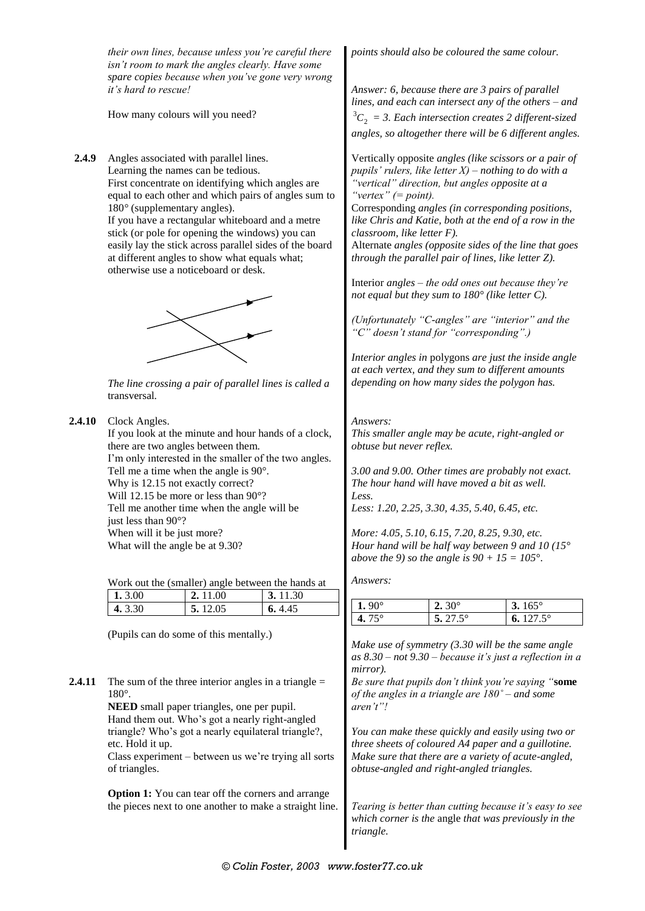*their own lines, because unless you're careful there isn't room to mark the angles clearly. Have some spare copies because when you've gone very wrong it's hard to rescue!*

How many colours will you need?

**2.4.9** Angles associated with parallel lines. Learning the names can be tedious. First concentrate on identifying which angles are equal to each other and which pairs of angles sum to 180*°* (supplementary angles). If you have a rectangular whiteboard and a metre stick (or pole for opening the windows) you can easily lay the stick across parallel sides of the board at different angles to show what equals what;

otherwise use a noticeboard or desk.



*The line crossing a pair of parallel lines is called a*  transversal*.*

**2.4.10** Clock Angles.

If you look at the minute and hour hands of a clock, there are two angles between them. I'm only interested in the smaller of the two angles. Tell me a time when the angle is 90°. Why is 12.15 not exactly correct? Will 12.15 be more or less than 90°? Tell me another time when the angle will be just less than 90°? When will it be just more? What will the angle be at 9.30?

Work out the (smaller) angle between the hands at

| 3.00    | 2.11.00 | 30 |
|---------|---------|----|
| 4 3 3 0 | 12.05   | 45 |

(Pupils can do some of this mentally.)

**2.4.11** The sum of the three interior angles in a triangle = 180°.

> **NEED** small paper triangles, one per pupil. Hand them out. Who's got a nearly right-angled triangle? Who's got a nearly equilateral triangle?, etc. Hold it up.

Class experiment – between us we're trying all sorts of triangles.

**Option 1:** You can tear off the corners and arrange the pieces next to one another to make a straight line. *points should also be coloured the same colour.*

*Answer: 6, because there are 3 pairs of parallel lines, and each can intersect any of the others – and*   ${}^3C_2$  = 3. Each intersection creates 2 different-sized *angles, so altogether there will be 6 different angles.*

Vertically opposite *angles (like scissors or a pair of pupils' rulers, like letter X) – nothing to do with a "vertical" direction, but angles opposite at a "vertex" (= point).*

Corresponding *angles (in corresponding positions, like Chris and Katie, both at the end of a row in the classroom, like letter F).*

Alternate *angles (opposite sides of the line that goes through the parallel pair of lines, like letter Z).*

Interior *angles – the odd ones out because they're not equal but they sum to 180° (like letter C).*

*(Unfortunately "C-angles" are "interior" and the "C" doesn't stand for "corresponding".)*

*Interior angles in* polygons *are just the inside angle at each vertex, and they sum to different amounts depending on how many sides the polygon has.*

## *Answers:*

*This smaller angle may be acute, right-angled or obtuse but never reflex.*

*3.00 and 9.00. Other times are probably not exact. The hour hand will have moved a bit as well. Less. Less: 1.20, 2.25, 3.30, 4.35, 5.40, 6.45, etc.*

*More: 4.05, 5.10, 6.15, 7.20, 8.25, 9.30, etc. Hour hand will be half way between 9 and 10 (15*° *above the 9) so the angle is 90 + 15 = 105*°*.*

*Answers:*

| 1 Q O $^{\circ}$ | $2.30^{\circ}$         | $165^\circ$   |
|------------------|------------------------|---------------|
| $4.75^\circ$     | $\leq$ 27.5 $^{\circ}$ | $127.5^\circ$ |

*Make use of symmetry (3.30 will be the same angle as 8.30 – not 9.30 – because it's just a reflection in a mirror).*

*Be sure that pupils don't think you're saying "***some** *of the angles in a triangle are 180˚ – and some aren't"!*

*You can make these quickly and easily using two or three sheets of coloured A4 paper and a guillotine. Make sure that there are a variety of acute-angled, obtuse-angled and right-angled triangles.*

*Tearing is better than cutting because it's easy to see which corner is the* angle *that was previously in the triangle.*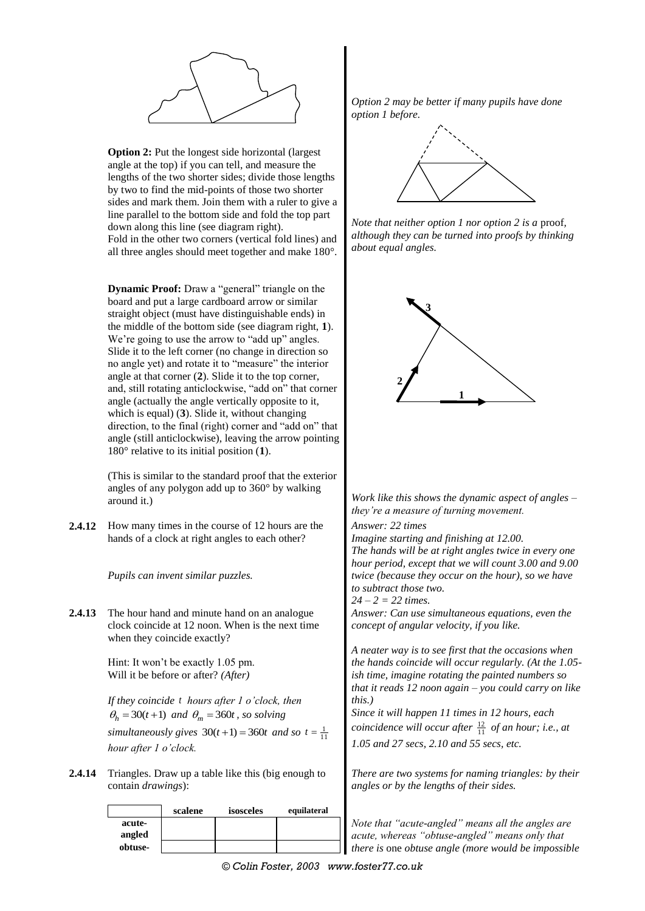

**Option 2:** Put the longest side horizontal (largest) angle at the top) if you can tell, and measure the lengths of the two shorter sides; divide those lengths by two to find the mid-points of those two shorter sides and mark them. Join them with a ruler to give a line parallel to the bottom side and fold the top part down along this line (see diagram right). Fold in the other two corners (vertical fold lines) and all three angles should meet together and make 180°.

**Dynamic Proof:** Draw a "general" triangle on the board and put a large cardboard arrow or similar straight object (must have distinguishable ends) in the middle of the bottom side (see diagram right, **1**). We're going to use the arrow to "add up" angles. Slide it to the left corner (no change in direction so no angle yet) and rotate it to "measure" the interior angle at that corner (**2**). Slide it to the top corner, and, still rotating anticlockwise, "add on" that corner angle (actually the angle vertically opposite to it, which is equal) (**3**). Slide it, without changing direction, to the final (right) corner and "add on" that angle (still anticlockwise), leaving the arrow pointing 180° relative to its initial position (**1**).

(This is similar to the standard proof that the exterior angles of any polygon add up to 360° by walking around it.)

**2.4.12** How many times in the course of 12 hours are the hands of a clock at right angles to each other?

*Pupils can invent similar puzzles.*

**2.4.13** The hour hand and minute hand on an analogue clock coincide at 12 noon. When is the next time when they coincide exactly?

> Hint: It won't be exactly 1.05 pm. Will it be before or after? *(After)*

*If they coincide t hours after 1 o'clock, then*   $\theta_h = 30(t+1)$  *and*  $\theta_m = 360t$ , *so solving simultaneously gives*  $30(t+1) = 360t$  *and so*  $t = \frac{1}{11}$ *hour after 1 o'clock.*

**2.4.14** Triangles. Draw up a table like this (big enough to contain *drawings*):

|                  | scalene | isosceles | equilateral |
|------------------|---------|-----------|-------------|
| acute-<br>angled |         |           |             |
| obtuse-          |         |           |             |

*Option 2 may be better if many pupils have done option 1 before.*



*Note that neither option 1 nor option 2 is a* proof*, although they can be turned into proofs by thinking about equal angles.*



*Work like this shows the dynamic aspect of angles – they're a measure of turning movement.*

*Answer: 22 times Imagine starting and finishing at 12.00. The hands will be at right angles twice in every one hour period, except that we will count 3.00 and 9.00 twice (because they occur on the hour), so we have to subtract those two. 24 – 2 = 22 times.*

*Answer: Can use simultaneous equations, even the concept of angular velocity, if you like.*

*A neater way is to see first that the occasions when the hands coincide will occur regularly. (At the 1.05 ish time, imagine rotating the painted numbers so that it reads 12 noon again – you could carry on like this.)*

*Since it will happen 11 times in 12 hours, each coincidence will occur after*  $\frac{12}{11}$  *of an hour; i.e., at 1.05 and 27 secs, 2.10 and 55 secs, etc.*

*There are two systems for naming triangles: by their angles or by the lengths of their sides.*

*Note that "acute-angled" means all the angles are acute, whereas "obtuse-angled" means only that there is* one *obtuse angle (more would be impossible*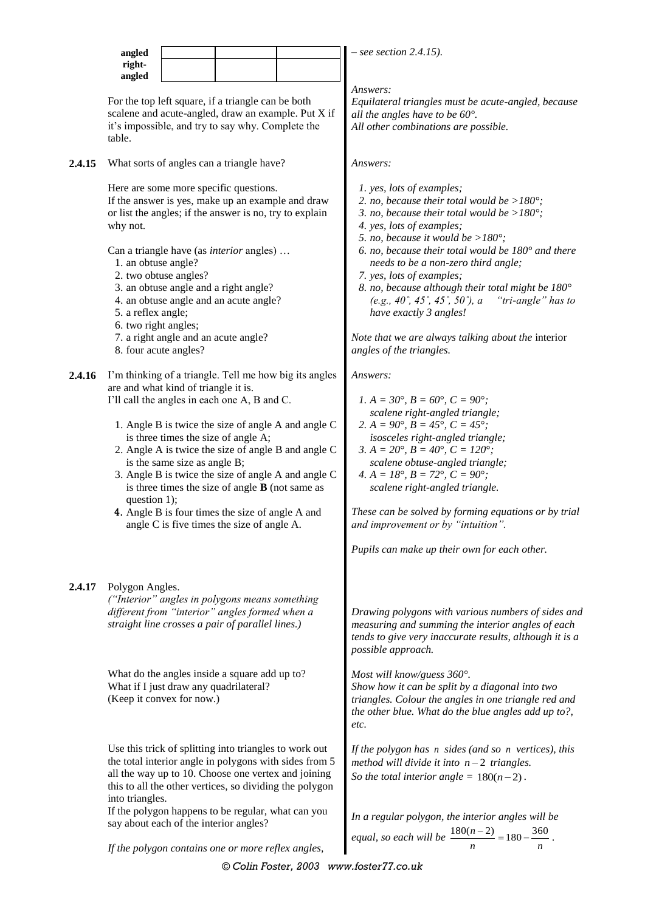|        | angled                                                                                                 |                                                                      |                                                                                                                                                                                                                                                                                              |                                                                                                                                                                                                                             | $-$ see section 2.4.15).                                                                                                                                                                                                                                                                                                                                                                                                                                                                                                                                                          |  |  |
|--------|--------------------------------------------------------------------------------------------------------|----------------------------------------------------------------------|----------------------------------------------------------------------------------------------------------------------------------------------------------------------------------------------------------------------------------------------------------------------------------------------|-----------------------------------------------------------------------------------------------------------------------------------------------------------------------------------------------------------------------------|-----------------------------------------------------------------------------------------------------------------------------------------------------------------------------------------------------------------------------------------------------------------------------------------------------------------------------------------------------------------------------------------------------------------------------------------------------------------------------------------------------------------------------------------------------------------------------------|--|--|
|        | right-<br>angled                                                                                       |                                                                      |                                                                                                                                                                                                                                                                                              |                                                                                                                                                                                                                             |                                                                                                                                                                                                                                                                                                                                                                                                                                                                                                                                                                                   |  |  |
|        | table.                                                                                                 |                                                                      | For the top left square, if a triangle can be both<br>scalene and acute-angled, draw an example. Put X if<br>it's impossible, and try to say why. Complete the                                                                                                                               |                                                                                                                                                                                                                             | Answers:<br>Equilateral triangles must be acute-angled, because<br>all the angles have to be $60^\circ$ .<br>All other combinations are possible.                                                                                                                                                                                                                                                                                                                                                                                                                                 |  |  |
| 2.4.15 |                                                                                                        |                                                                      | What sorts of angles can a triangle have?                                                                                                                                                                                                                                                    |                                                                                                                                                                                                                             | Answers:                                                                                                                                                                                                                                                                                                                                                                                                                                                                                                                                                                          |  |  |
|        | why not.<br>1. an obtuse angle?<br>5. a reflex angle;<br>6. two right angles;<br>8. four acute angles? | 2. two obtuse angles?<br>7. a right angle and an acute angle?        | Here are some more specific questions.<br>If the answer is yes, make up an example and draw<br>or list the angles; if the answer is no, try to explain<br>Can a triangle have (as <i>interior</i> angles)<br>3. an obtuse angle and a right angle?<br>4. an obtuse angle and an acute angle? |                                                                                                                                                                                                                             | 1. yes, lots of examples;<br>2. no, because their total would be $>180^\circ$ ;<br>3. no, because their total would be $>180^\circ$ ;<br>4. yes, lots of examples;<br>5. no, because it would be $>180^\circ$ ;<br>6. no, because their total would be $180^{\circ}$ and there<br>needs to be a non-zero third angle;<br>7. yes, lots of examples;<br>8. no, because although their total might be $180^\circ$<br>(e.g., 40°, 45°, 45°, 50°), a<br>"tri-angle" has to<br>have exactly 3 angles!<br>Note that we are always talking about the interior<br>angles of the triangles. |  |  |
| 2.4.16 | question 1);                                                                                           | are and what kind of triangle it is.<br>is the same size as angle B; | I'll call the angles in each one A, B and C.<br>is three times the size of angle A;<br>is three times the size of angle $\bf{B}$ (not same as<br>4. Angle B is four times the size of angle A and<br>angle C is five times the size of angle A.                                              | I'm thinking of a triangle. Tell me how big its angles<br>1. Angle B is twice the size of angle A and angle C<br>2. Angle A is twice the size of angle B and angle C<br>3. Angle B is twice the size of angle A and angle C | Answers:<br>1. $A = 30^{\circ}$ , $B = 60^{\circ}$ , $C = 90^{\circ}$ ;<br>scalene right-angled triangle;<br>2. $A = 90^{\circ}$ , $B = 45^{\circ}$ , $C = 45^{\circ}$ ;<br>isosceles right-angled triangle;<br>3. $A = 20^{\circ}$ , $B = 40^{\circ}$ , $C = 120^{\circ}$ ;<br>scalene obtuse-angled triangle;<br>4. $A = 18^\circ$ , $B = 72^\circ$ , $C = 90^\circ$ ;<br>scalene right-angled triangle.<br>These can be solved by forming equations or by trial<br>and improvement or by "intuition".<br>Pupils can make up their own for each other.                          |  |  |
| 2.4.17 | Polygon Angles.                                                                                        | What if I just draw any quadrilateral?<br>(Keep it convex for now.)  | ("Interior" angles in polygons means something<br>different from "interior" angles formed when a<br>straight line crosses a pair of parallel lines.)<br>What do the angles inside a square add up to?                                                                                        |                                                                                                                                                                                                                             | Drawing polygons with various numbers of sides and<br>measuring and summing the interior angles of each<br>tends to give very inaccurate results, although it is a<br>possible approach.<br>Most will know/guess 360°.<br>Show how it can be split by a diagonal into two<br>triangles. Colour the angles in one triangle red and<br>the other blue. What do the blue angles add up to?,<br>etc.                                                                                                                                                                                  |  |  |
|        | into triangles.                                                                                        | say about each of the interior angles?                               | Use this trick of splitting into triangles to work out<br>the total interior angle in polygons with sides from 5<br>all the way up to 10. Choose one vertex and joining<br>this to all the other vertices, so dividing the polygon<br>If the polygon happens to be regular, what can you     |                                                                                                                                                                                                                             | If the polygon has n sides (and so n vertices), this<br>method will divide it into $n-2$ triangles.<br>So the total interior angle = $180(n-2)$ .<br>In a regular polygon, the interior angles will be<br>equal, so each will be $\frac{180(n-2)}{n} = 180 - \frac{360}{n}$ .                                                                                                                                                                                                                                                                                                     |  |  |
|        |                                                                                                        |                                                                      | If the polygon contains one or more reflex angles,                                                                                                                                                                                                                                           |                                                                                                                                                                                                                             |                                                                                                                                                                                                                                                                                                                                                                                                                                                                                                                                                                                   |  |  |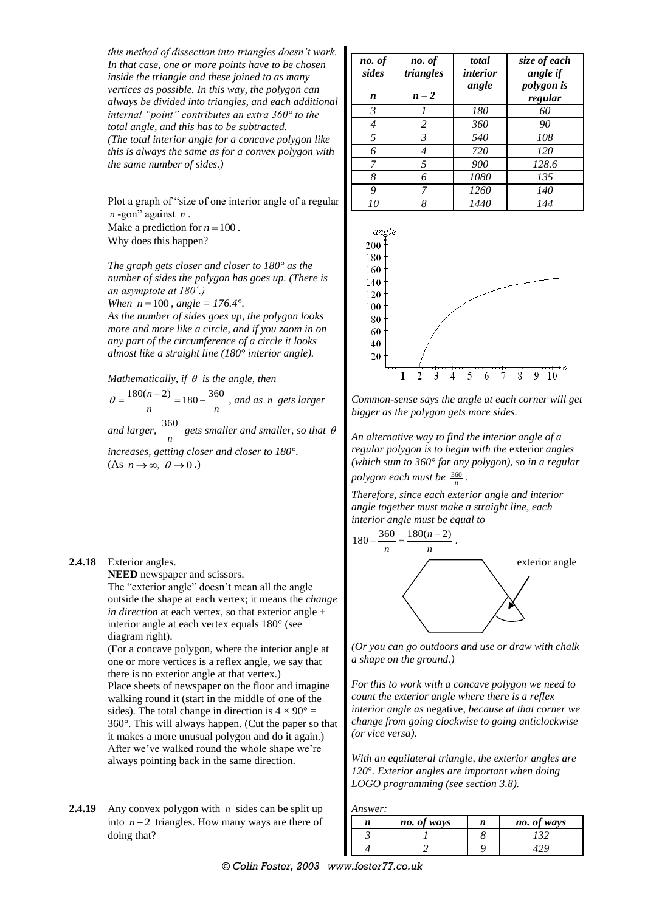*this method of dissection into triangles doesn't work. In that case, one or more points have to be chosen inside the triangle and these joined to as many vertices as possible. In this way, the polygon can always be divided into triangles, and each additional internal "point" contributes an extra 360° to the total angle, and this has to be subtracted. (The total interior angle for a concave polygon like this is always the same as for a convex polygon with the same number of sides.)*

Plot a graph of "size of one interior angle of a regular *n* -gon" against *n* .

Make a prediction for  $n = 100$ . Why does this happen?

*The graph gets closer and closer to 180° as the number of sides the polygon has goes up. (There is an asymptote at 180˚.) When*  $n = 100$ ,  $angle = 176.4^{\circ}$ . *As the number of sides goes up, the polygon looks* 

*more and more like a circle, and if you zoom in on any part of the circumference of a circle it looks almost like a straight line (180° interior angle).*

*Mathematically, if is the angle, then*

 $\frac{180(n-2)}{2} = 180 - \frac{360}{2}$  $\theta = \frac{180(n-2)}{n} = 180 - \frac{360}{n}$ , and as *n* gets larger

*and larger,*  360  $\frac{30}{n}$  gets smaller and smaller, so that  $\theta$ 

*increases, getting closer and closer to 180°.*  $(As n \rightarrow \infty, \theta \rightarrow 0.)$ 

## **2.4.18** Exterior angles.

**NEED** newspaper and scissors.

The "exterior angle" doesn't mean all the angle outside the shape at each vertex; it means the *change in direction* at each vertex, so that exterior angle + interior angle at each vertex equals 180° (see diagram right).

(For a concave polygon, where the interior angle at one or more vertices is a reflex angle, we say that there is no exterior angle at that vertex.) Place sheets of newspaper on the floor and imagine walking round it (start in the middle of one of the sides). The total change in direction is  $4 \times 90^\circ =$ 360°. This will always happen. (Cut the paper so that it makes a more unusual polygon and do it again.) After we've walked round the whole shape we're always pointing back in the same direction.

2.4.19 Any convex polygon with *n* sides can be split up into  $n-2$  triangles. How many ways are there of doing that?

| no. of<br>sides<br>n | no. of<br>triangles<br>$n-2$ | total<br><i>interior</i><br>angle | size of each<br>angle if<br>polygon is<br>regular |
|----------------------|------------------------------|-----------------------------------|---------------------------------------------------|
| 3                    |                              | 180                               | 60                                                |
| 4                    | 2                            | 360                               | 90                                                |
| 5                    | 3                            | 540                               | 108                                               |
| 6                    | 4                            | 720                               | 120                                               |
| 7                    | 5                            | 900                               | 128.6                                             |
| 8                    | 6                            | 1080                              | 135                                               |
| 9                    | 7                            | 1260                              | 140                                               |
| 10                   | 8                            | 1440                              | 144                                               |



*Common-sense says the angle at each corner will get bigger as the polygon gets more sides.*

*An alternative way to find the interior angle of a regular polygon is to begin with the* exterior *angles (which sum to 360° for any polygon), so in a regular polygon each must be*  $\frac{360}{n}$ .

*Therefore, since each exterior angle and interior angle together must make a straight line, each interior angle must be equal to* 



*(Or you can go outdoors and use or draw with chalk a shape on the ground.)*

*For this to work with a concave polygon we need to count the exterior angle where there is a reflex interior angle as* negative*, because at that corner we change from going clockwise to going anticlockwise (or vice versa).*

*With an equilateral triangle, the exterior angles are 120*°*. Exterior angles are important when doing LOGO programming (see section 3.8).*

*Answer:*

| n | no. of ways | n | no. of ways |
|---|-------------|---|-------------|
|   |             |   |             |
|   |             |   |             |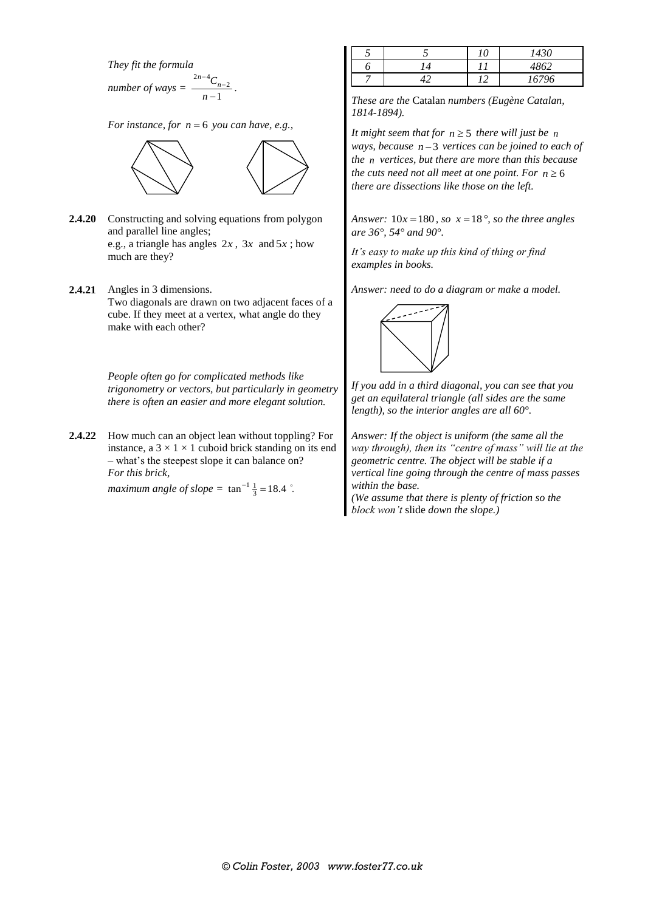*They fit the formula*

number of ways = 
$$
\frac{2n-4C_{n-2}}{n-1}
$$

*For instance, for*  $n = 6$  *you can have, e.g.,* 



*.*

- **2.4.20** Constructing and solving equations from polygon and parallel line angles; e.g., a triangle has angles  $2x$ ,  $3x$  and  $5x$ ; how much are they?
- **2.4.21** Angles in 3 dimensions. Two diagonals are drawn on two adjacent faces of a cube. If they meet at a vertex, what angle do they make with each other?

*People often go for complicated methods like trigonometry or vectors, but particularly in geometry there is often an easier and more elegant solution.*

**2.4.22** How much can an object lean without toppling? For instance, a  $3 \times 1 \times 1$  cuboid brick standing on its end – what's the steepest slope it can balance on? *For this brick,*

*maximum angle of slope* =  $\tan^{-1} \frac{1}{3} = 18.4$   $\degree$ .

|  | 10                              | 1430  |
|--|---------------------------------|-------|
|  |                                 | 4862  |
|  | י י<br>$\overline{\phantom{a}}$ | 16796 |

*These are the* Catalan *numbers (Eugène Catalan, 1814-1894).*

It might seem that for  $n \geq 5$  there will just be n ways, because  $n-3$  vertices can be joined to each of *the n vertices, but there are more than this because the cuts need not all meet at one point. For*  $n \geq 6$ *there are dissections like those on the left.*

*Answer:*  $10x = 180$ *, so x* = 18<sup>°</sup>*, so the three angles are 36°, 54° and 90°.*

*It's easy to make up this kind of thing or find examples in books.*

*Answer: need to do a diagram or make a model.*



*If you add in a third diagonal, you can see that you get an equilateral triangle (all sides are the same length), so the interior angles are all 60°.*

*Answer: If the object is uniform (the same all the way through), then its "centre of mass" will lie at the geometric centre. The object will be stable if a vertical line going through the centre of mass passes within the base.*

*(We assume that there is plenty of friction so the block won't* slide *down the slope.)*